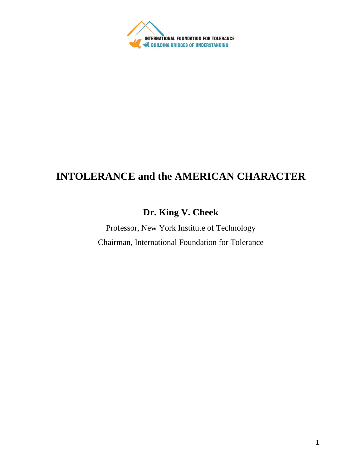

## **INTOLERANCE and the AMERICAN CHARACTER**

## **Dr. King V. Cheek**

Professor, New York Institute of Technology Chairman, International Foundation for Tolerance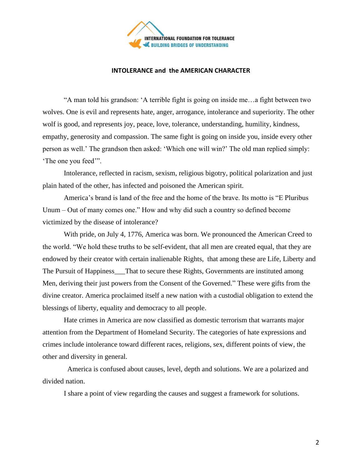

## **INTOLERANCE and the AMERICAN CHARACTER**

"A man told his grandson: 'A terrible fight is going on inside me…a fight between two wolves. One is evil and represents hate, anger, arrogance, intolerance and superiority. The other wolf is good, and represents joy, peace, love, tolerance, understanding, humility, kindness, empathy, generosity and compassion. The same fight is going on inside you, inside every other person as well.' The grandson then asked: 'Which one will win?' The old man replied simply: 'The one you feed'".

Intolerance, reflected in racism, sexism, religious bigotry, political polarization and just plain hated of the other, has infected and poisoned the American spirit.

 America's brand is land of the free and the home of the brave. Its motto is "E Pluribus Unum – Out of many comes one." How and why did such a country so defined become victimized by the disease of intolerance?

With pride, on July 4, 1776, America was born. We pronounced the American Creed to the world. "We hold these truths to be self-evident, that all men are created equal, that they are endowed by their creator with certain inalienable Rights, that among these are Life, Liberty and The Pursuit of Happiness\_\_\_That to secure these Rights, Governments are instituted among Men, deriving their just powers from the Consent of the Governed." These were gifts from the divine creator. America proclaimed itself a new nation with a custodial obligation to extend the blessings of liberty, equality and democracy to all people.

Hate crimes in America are now classified as domestic terrorism that warrants major attention from the Department of Homeland Security. The categories of hate expressions and crimes include intolerance toward different races, religions, sex, different points of view, the other and diversity in general.

 America is confused about causes, level, depth and solutions. We are a polarized and divided nation.

I share a point of view regarding the causes and suggest a framework for solutions.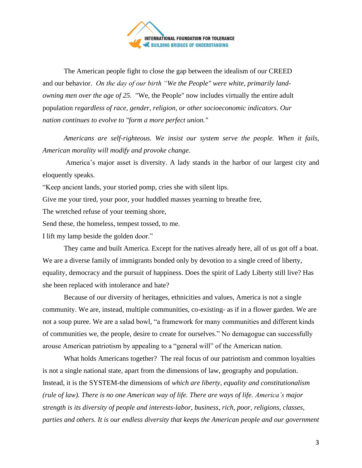

The American people fight to close the gap between the idealism of our CREED and our behavior. *On the day of our birth "We the People" were white, primarily landowning men over the age of 25.* "We, the People" now includes virtually the entire adult population *regardless of race, gender, religion, or other socioeconomic indicators. Our nation continues to evolve to "form a more perfect union."*

*Americans are self-righteous. We insist our system serve the people. When it fails, American morality will modify and provoke change.*

America's major asset is diversity. A lady stands in the harbor of our largest city and eloquently speaks.

"Keep ancient lands, your storied pomp, cries she with silent lips.

Give me your tired, your poor, your huddled masses yearning to breathe free,

The wretched refuse of your teeming shore,

Send these, the homeless, tempest tossed, to me.

I lift my lamp beside the golden door."

They came and built America. Except for the natives already here, all of us got off a boat. We are a diverse family of immigrants bonded only by devotion to a single creed of liberty, equality, democracy and the pursuit of happiness. Does the spirit of Lady Liberty still live? Has she been replaced with intolerance and hate?

Because of our diversity of heritages, ethnicities and values, America is not a single community. We are, instead, multiple communities, co-existing- as if in a flower garden. We are not a soup puree. We are a salad bowl, "a framework for many communities and different kinds of communities we, the people, desire to create for ourselves." No demagogue can successfully arouse American patriotism by appealing to a "general will" of the American nation.

What holds Americans together? The real focus of our patriotism and common loyalties is not a single national state, apart from the dimensions of law, geography and population. Instead, it is the SYSTEM-the dimensions of *which are liberty, equality and constitutionalism (rule of law). There is no one American way of life. There are ways of life. America's major strength is its diversity of people and interests-labor, business, rich, poor, religions, classes, parties and others. It is our endless diversity that keeps the American people and our government*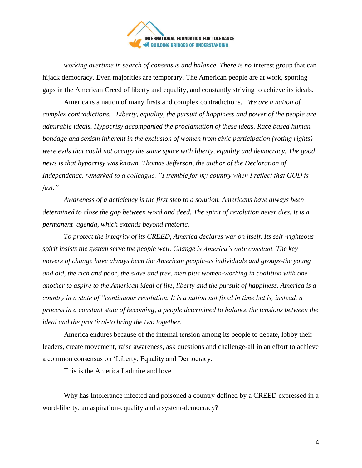

*working overtime in search of consensus and balance. There is no* interest group that can hijack democracy. Even majorities are temporary. The American people are at work, spotting gaps in the American Creed of liberty and equality, and constantly striving to achieve its ideals.

America is a nation of many firsts and complex contradictions. *We are a nation of complex contradictions. Liberty, equality, the pursuit of happiness and power of the people are admirable ideals. Hypocrisy accompanied the proclamation of these ideas. Race based human bondage and sexism inherent in the exclusion of women from civic participation (voting rights) were evils that could not occupy the same space with liberty, equality and democracy. The good news is that hypocrisy was known. Thomas Jefferson, the author of the Declaration of Independence, remarked to a colleague. "I tremble for my country when I reflect that GOD is just."* 

*Awareness of a deficiency is the first step to a solution. Americans have always been determined to close the gap between word and deed. The spirit of revolution never dies. It is a permanent agenda, which extends beyond rhetoric.* 

*To protect the integrity of its CREED, America declares war on itself. Its self -righteous spirit insists the system serve the people well. Change is America's only constant. The key movers of change have always been the American people-as individuals and groups-the young and old, the rich and poor, the slave and free, men plus women-working in coalition with one another to aspire to the American ideal of life, liberty and the pursuit of happiness. America is a country in a state of "continuous revolution. It is a nation not fixed in time but is, instead, a process in a constant state of becoming, a people determined to balance the tensions between the ideal and the practical-to bring the two together.*

America endures because of the internal tension among its people to debate, lobby their leaders, create movement, raise awareness, ask questions and challenge-all in an effort to achieve a common consensus on 'Liberty, Equality and Democracy.

This is the America I admire and love.

Why has Intolerance infected and poisoned a country defined by a CREED expressed in a word-liberty, an aspiration-equality and a system-democracy?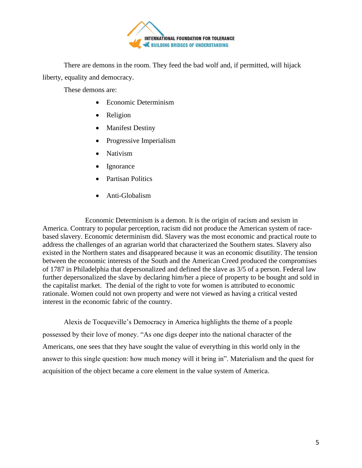

There are demons in the room. They feed the bad wolf and, if permitted, will hijack liberty, equality and democracy.

These demons are:

- Economic Determinism
- **Religion**
- Manifest Destiny
- Progressive Imperialism
- Nativism
- **Ignorance**
- Partisan Politics
- Anti-Globalism

Economic Determinism is a demon. It is the origin of racism and sexism in America. Contrary to popular perception, racism did not produce the American system of racebased slavery. Economic determinism did. Slavery was the most economic and practical route to address the challenges of an agrarian world that characterized the Southern states. Slavery also existed in the Northern states and disappeared because it was an economic disutility. The tension between the economic interests of the South and the American Creed produced the compromises of 1787 in Philadelphia that depersonalized and defined the slave as 3/5 of a person. Federal law further depersonalized the slave by declaring him/her a piece of property to be bought and sold in the capitalist market. The denial of the right to vote for women is attributed to economic rationale. Women could not own property and were not viewed as having a critical vested interest in the economic fabric of the country.

Alexis de Tocqueville's Democracy in America highlights the theme of a people possessed by their love of money. "As one digs deeper into the national character of the Americans, one sees that they have sought the value of everything in this world only in the answer to this single question: how much money will it bring in". Materialism and the quest for acquisition of the object became a core element in the value system of America.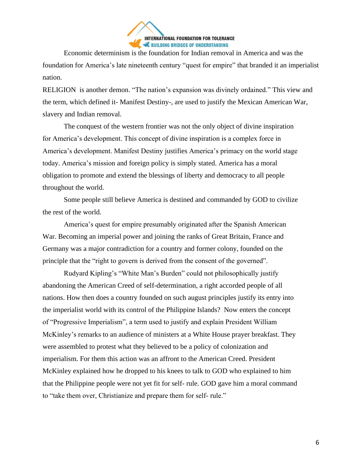

Economic determinism is the foundation for Indian removal in America and was the foundation for America's late nineteenth century "quest for empire" that branded it an imperialist nation.

RELIGION is another demon. "The nation's expansion was divinely ordained." This view and the term, which defined it- Manifest Destiny-, are used to justify the Mexican American War, slavery and Indian removal.

The conquest of the western frontier was not the only object of divine inspiration for America's development. This concept of divine inspiration is a complex force in America's development. Manifest Destiny justifies America's primacy on the world stage today. America's mission and foreign policy is simply stated. America has a moral obligation to promote and extend the blessings of liberty and democracy to all people throughout the world.

Some people still believe America is destined and commanded by GOD to civilize the rest of the world.

America's quest for empire presumably originated after the Spanish American War. Becoming an imperial power and joining the ranks of Great Britain, France and Germany was a major contradiction for a country and former colony, founded on the principle that the "right to govern is derived from the consent of the governed".

Rudyard Kipling's "White Man's Burden" could not philosophically justify abandoning the American Creed of self-determination, a right accorded people of all nations. How then does a country founded on such august principles justify its entry into the imperialist world with its control of the Philippine Islands? Now enters the concept of "Progressive Imperialism", a term used to justify and explain President William McKinley's remarks to an audience of ministers at a White House prayer breakfast. They were assembled to protest what they believed to be a policy of colonization and imperialism. For them this action was an affront to the American Creed. President McKinley explained how he dropped to his knees to talk to GOD who explained to him that the Philippine people were not yet fit for self- rule. GOD gave him a moral command to "take them over, Christianize and prepare them for self- rule."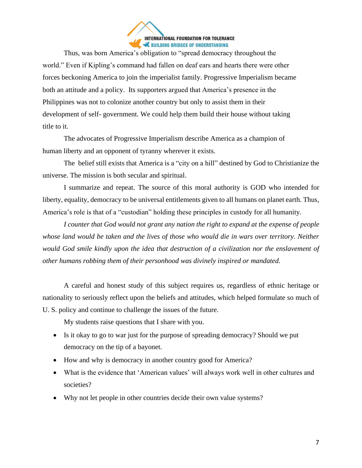

Thus, was born America's obligation to "spread democracy throughout the world." Even if Kipling's command had fallen on deaf ears and hearts there were other forces beckoning America to join the imperialist family. Progressive Imperialism became both an attitude and a policy. Its supporters argued that America's presence in the Philippines was not to colonize another country but only to assist them in their development of self- government. We could help them build their house without taking title to it.

The advocates of Progressive Imperialism describe America as a champion of human liberty and an opponent of tyranny wherever it exists.

The belief still exists that America is a "city on a hill" destined by God to Christianize the universe. The mission is both secular and spiritual.

I summarize and repeat. The source of this moral authority is GOD who intended for liberty, equality, democracy to be universal entitlements given to all humans on planet earth. Thus, America's role is that of a "custodian" holding these principles in custody for all humanity.

*I counter that God would not grant any nation the right to expand at the expense of people whose land would be taken and the lives of those who would die in wars over territory. Neither would God smile kindly upon the idea that destruction of a civilization nor the enslavement of other humans robbing them of their personhood was divinely inspired or mandated.*

A careful and honest study of this subject requires us, regardless of ethnic heritage or nationality to seriously reflect upon the beliefs and attitudes, which helped formulate so much of U. S. policy and continue to challenge the issues of the future.

My students raise questions that I share with you.

- Is it okay to go to war just for the purpose of spreading democracy? Should we put democracy on the tip of a bayonet.
- How and why is democracy in another country good for America?
- What is the evidence that 'American values' will always work well in other cultures and societies?
- Why not let people in other countries decide their own value systems?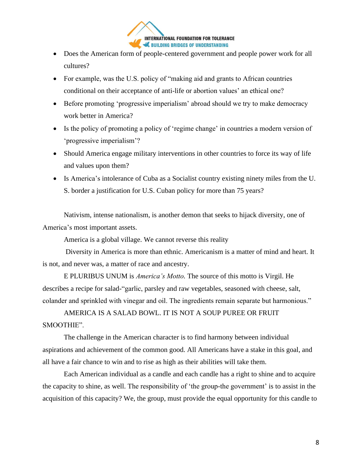

- Does the American form of people-centered government and people power work for all cultures?
- For example, was the U.S. policy of "making aid and grants to African countries" conditional on their acceptance of anti-life or abortion values' an ethical one?
- Before promoting 'progressive imperialism' abroad should we try to make democracy work better in America?
- Is the policy of promoting a policy of 'regime change' in countries a modern version of 'progressive imperialism'?
- Should America engage military interventions in other countries to force its way of life and values upon them?
- Is America's intolerance of Cuba as a Socialist country existing ninety miles from the U. S. border a justification for U.S. Cuban policy for more than 75 years?

Nativism, intense nationalism, is another demon that seeks to hijack diversity, one of America's most important assets.

America is a global village. We cannot reverse this reality

Diversity in America is more than ethnic. Americanism is a matter of mind and heart. It is not, and never was, a matter of race and ancestry.

E PLURIBUS UNUM is *America's Motto.* The source of this motto is Virgil. He describes a recipe for salad-"garlic, parsley and raw vegetables, seasoned with cheese, salt, colander and sprinkled with vinegar and oil. The ingredients remain separate but harmonious."

AMERICA IS A SALAD BOWL. IT IS NOT A SOUP PUREE OR FRUIT SMOOTHIE".

The challenge in the American character is to find harmony between individual aspirations and achievement of the common good. All Americans have a stake in this goal, and all have a fair chance to win and to rise as high as their abilities will take them.

Each American individual as a candle and each candle has a right to shine and to acquire the capacity to shine, as well. The responsibility of 'the group-the government' is to assist in the acquisition of this capacity? We, the group, must provide the equal opportunity for this candle to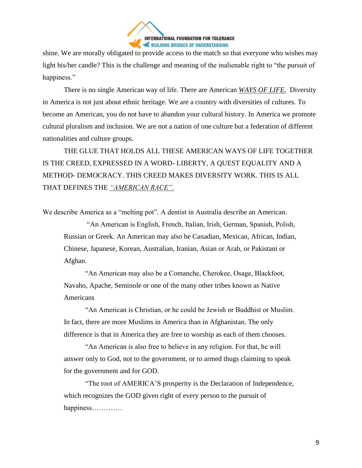

shine. We are morally obligated to provide access to the match so that everyone who wishes may light his/her candle? This is the challenge and meaning of the inalienable right to "the pursuit of happiness."

There is no single American way of life. There are American *WAYS OF LIFE.* Diversity in America is not just about ethnic heritage. We are a country with diversities of cultures*.* To become an American, you do not have to abandon your cultural history. In America we promote cultural pluralism and inclusion. We are not a nation of one culture but a federation of different nationalities and culture groups.

THE GLUE THAT HOLDS ALL THESE AMERICAN WAYS OF LIFE TOGETHER IS THE CREED, EXPRESSED IN A WORD- LIBERTY, A QUEST EQUALITY AND A METHOD- DEMOCRACY. THIS CREED MAKES DIVERSITY WORK. THIS IS ALL THAT DEFINES THE *"AMERICAN RACE".*

We describe America as a "melting pot". A dentist in Australia describe an American.

"An American is English, French, Italian, Irish, German, Spanish, Polish, Russian or Greek. An American may also be Canadian, Mexican, African, Indian, Chinese, Japanese, Korean, Australian, Iranian, Asian or Arab, or Pakistani or Afghan.

"An American may also be a Comanche, Cherokee, Osage, Blackfoot, Navaho, Apache, Seminole or one of the many other tribes known as Native Americans

"An American is Christian, or he could be Jewish or Buddhist or Muslim. In fact, there are more Muslims in America than in Afghanistan. The only difference is that in America they are free to worship as each of them chooses.

"An American is also free to believe in any religion. For that, he will answer only to God, not to the government, or to armed thugs claiming to speak for the government and for GOD.

"The root of AMERICA'S prosperity is the Declaration of Independence, which recognizes the GOD given right of every person to the pursuit of happiness………….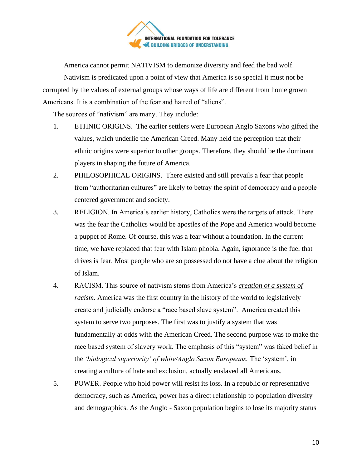

America cannot permit NATIVISM to demonize diversity and feed the bad wolf.

Nativism is predicated upon a point of view that America is so special it must not be corrupted by the values of external groups whose ways of life are different from home grown Americans. It is a combination of the fear and hatred of "aliens".

The sources of "nativism" are many. They include:

- 1. ETHNIC ORIGINS. The earlier settlers were European Anglo Saxons who gifted the values, which underlie the American Creed. Many held the perception that their ethnic origins were superior to other groups. Therefore, they should be the dominant players in shaping the future of America.
- 2. PHILOSOPHICAL ORIGINS. There existed and still prevails a fear that people from "authoritarian cultures" are likely to betray the spirit of democracy and a people centered government and society.
- 3. RELIGION. In America's earlier history, Catholics were the targets of attack. There was the fear the Catholics would be apostles of the Pope and America would become a puppet of Rome. Of course, this was a fear without a foundation. In the current time, we have replaced that fear with Islam phobia. Again, ignorance is the fuel that drives is fear. Most people who are so possessed do not have a clue about the religion of Islam.
- 4. RACISM. This source of nativism stems from America's *creation of a system of racism.* America was the first country in the history of the world to legislatively create and judicially endorse a "race based slave system". America created this system to serve two purposes. The first was to justify a system that was fundamentally at odds with the American Creed. The second purpose was to make the race based system of slavery work. The emphasis of this "system" was faked belief in the *'biological superiority' of white/Anglo Saxon Europeans.* The 'system', in creating a culture of hate and exclusion, actually enslaved all Americans.
- 5. POWER. People who hold power will resist its loss. In a republic or representative democracy, such as America, power has a direct relationship to population diversity and demographics. As the Anglo - Saxon population begins to lose its majority status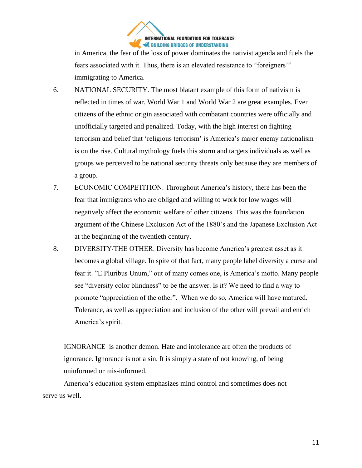

in America, the fear of the loss of power dominates the nativist agenda and fuels the fears associated with it. Thus, there is an elevated resistance to "foreigners'" immigrating to America.

- 6. NATIONAL SECURITY. The most blatant example of this form of nativism is reflected in times of war. World War 1 and World War 2 are great examples. Even citizens of the ethnic origin associated with combatant countries were officially and unofficially targeted and penalized. Today, with the high interest on fighting terrorism and belief that 'religious terrorism' is America's major enemy nationalism is on the rise. Cultural mythology fuels this storm and targets individuals as well as groups we perceived to be national security threats only because they are members of a group.
- 7. ECONOMIC COMPETITION. Throughout America's history, there has been the fear that immigrants who are obliged and willing to work for low wages will negatively affect the economic welfare of other citizens. This was the foundation argument of the Chinese Exclusion Act of the 1880's and the Japanese Exclusion Act at the beginning of the twentieth century.
- 8. DIVERSITY/THE OTHER. Diversity has become America's greatest asset as it becomes a global village. In spite of that fact, many people label diversity a curse and fear it. "E Pluribus Unum," out of many comes one, is America's motto. Many people see "diversity color blindness" to be the answer. Is it? We need to find a way to promote "appreciation of the other". When we do so, America will have matured. Tolerance, as well as appreciation and inclusion of the other will prevail and enrich America's spirit.

IGNORANCE is another demon. Hate and intolerance are often the products of ignorance. Ignorance is not a sin. It is simply a state of not knowing, of being uninformed or mis-informed.

America's education system emphasizes mind control and sometimes does not serve us well.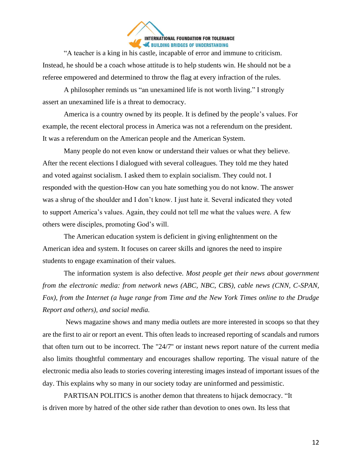

"A teacher is a king in his castle, incapable of error and immune to criticism. Instead, he should be a coach whose attitude is to help students win. He should not be a referee empowered and determined to throw the flag at every infraction of the rules.

A philosopher reminds us "an unexamined life is not worth living." I strongly assert an unexamined life is a threat to democracy.

America is a country owned by its people. It is defined by the people's values. For example, the recent electoral process in America was not a referendum on the president. It was a referendum on the American people and the American System.

Many people do not even know or understand their values or what they believe. After the recent elections I dialogued with several colleagues. They told me they hated and voted against socialism. I asked them to explain socialism. They could not. I responded with the question-How can you hate something you do not know. The answer was a shrug of the shoulder and I don't know. I just hate it. Several indicated they voted to support America's values. Again, they could not tell me what the values were. A few others were disciples, promoting God's will.

The American education system is deficient in giving enlightenment on the American idea and system. It focuses on career skills and ignores the need to inspire students to engage examination of their values.

The information system is also defective. *Most people get their news about government from the electronic media: from network news (ABC, NBC, CBS), cable news (CNN, C-SPAN, Fox), from the Internet (a huge range from Time and the New York Times online to the Drudge Report and others), and social media.*

News magazine shows and many media outlets are more interested in scoops so that they are the first to air or report an event. This often leads to increased reporting of scandals and rumors that often turn out to be incorrect. The "24/7'' or instant news report nature of the current media also limits thoughtful commentary and encourages shallow reporting. The visual nature of the electronic media also leads to stories covering interesting images instead of important issues of the day. This explains why so many in our society today are uninformed and pessimistic.

PARTISAN POLITICS is another demon that threatens to hijack democracy. "It is driven more by hatred of the other side rather than devotion to ones own. Its less that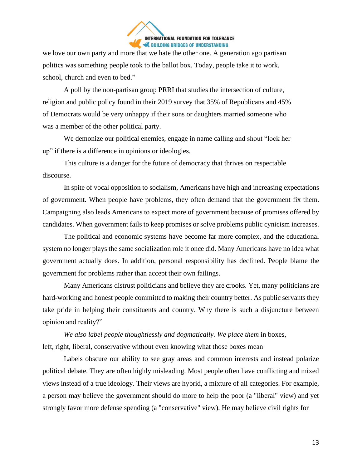

we love our own party and more that we hate the other one. A generation ago partisan politics was something people took to the ballot box. Today, people take it to work, school, church and even to bed."

A poll by the non-partisan group PRRI that studies the intersection of culture, religion and public policy found in their 2019 survey that 35% of Republicans and 45% of Democrats would be very unhappy if their sons or daughters married someone who was a member of the other political party.

We demonize our political enemies, engage in name calling and shout "lock her up" if there is a difference in opinions or ideologies.

This culture is a danger for the future of democracy that thrives on respectable discourse.

In spite of vocal opposition to socialism, Americans have high and increasing expectations of government. When people have problems, they often demand that the government fix them. Campaigning also leads Americans to expect more of government because of promises offered by candidates. When government fails to keep promises or solve problems public cynicism increases.

The political and economic systems have become far more complex, and the educational system no longer plays the same socialization role it once did. Many Americans have no idea what government actually does. In addition, personal responsibility has declined. People blame the government for problems rather than accept their own failings.

Many Americans distrust politicians and believe they are crooks. Yet, many politicians are hard-working and honest people committed to making their country better. As public servants they take pride in helping their constituents and country. Why there is such a disjuncture between opinion and reality?"

*We also label people thoughtlessly and dogmatically. We place them* in boxes, left, right, liberal, conservative without even knowing what those boxes mean

Labels obscure our ability to see gray areas and common interests and instead polarize political debate. They are often highly misleading. Most people often have conflicting and mixed views instead of a true ideology. Their views are hybrid, a mixture of all categories. For example, a person may believe the government should do more to help the poor (a "liberal" view) and yet strongly favor more defense spending (a "conservative" view). He may believe civil rights for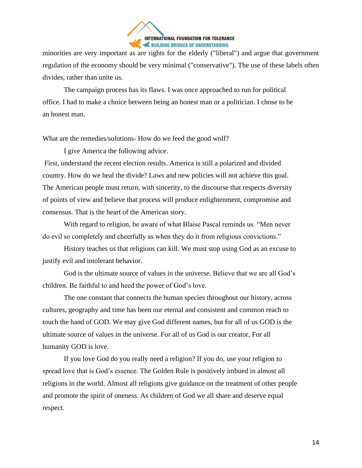

minorities are very important as are rights for the elderly ("liberal") and argue that government regulation of the economy should be very minimal ("conservative"). The use of these labels often divides, rather than unite us.

The campaign process has its flaws. I was once approached to run for political office. I had to make a choice between being an honest man or a politician. I chose to be an honest man.

What are the remedies/solutions- How do we feed the good wolf?

I give America the following advice.

First, understand the recent election results. America is still a polarized and divided country. How do we heal the divide? Laws and new policies will not achieve this goal. The American people must return, with sincerity, to the discourse that respects diversity of points of view and believe that process will produce enlightenment, compromise and consensus. That is the heart of the American story.

With regard to religion, be aware of what Blaise Pascal reminds us. "Men never do evil so completely and cheerfully as when they do it from religious convictions."

History teaches us that religions can kill. We must stop using God as an excuse to justify evil and intolerant behavior.

God is the ultimate source of values in the universe. Believe that we are all God's children. Be faithful to and heed the power of God's love.

The one constant that connects the human species throughout our history, across cultures, geography and time has been our eternal and consistent and common reach to touch the hand of GOD. We may give God different names, but for all of us GOD is the ultimate source of values in the universe. For all of us God is our creator, For all humanity GOD is love.

If you love God do you really need a religion? If you do, use your religion to spread love that is God's essence. The Golden Rule is positively imbued in almost all religions in the world. Almost all religions give guidance on the treatment of other people and promote the spirit of oneness. As children of God we all share and deserve equal respect.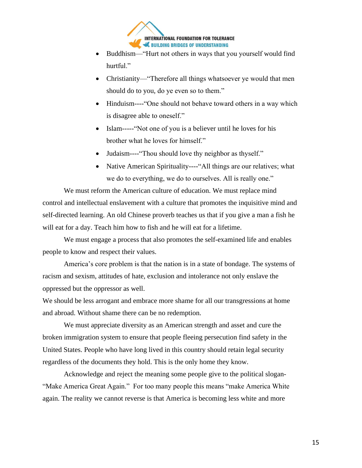

- Buddhism—"Hurt not others in ways that you yourself would find hurtful."
- Christianity—"Therefore all things whatsoever ye would that men should do to you, do ye even so to them."
- Hinduism----"One should not behave toward others in a way which is disagree able to oneself."
- Islam-----"Not one of you is a believer until he loves for his brother what he loves for himself."
- Judaism----"Thou should love thy neighbor as thyself."
- Native American Spirituality----"All things are our relatives; what we do to everything, we do to ourselves. All is really one."

We must reform the American culture of education. We must replace mind control and intellectual enslavement with a culture that promotes the inquisitive mind and self-directed learning. An old Chinese proverb teaches us that if you give a man a fish he will eat for a day. Teach him how to fish and he will eat for a lifetime.

We must engage a process that also promotes the self-examined life and enables people to know and respect their values.

America's core problem is that the nation is in a state of bondage. The systems of racism and sexism, attitudes of hate, exclusion and intolerance not only enslave the oppressed but the oppressor as well.

We should be less arrogant and embrace more shame for all our transgressions at home and abroad. Without shame there can be no redemption.

We must appreciate diversity as an American strength and asset and cure the broken immigration system to ensure that people fleeing persecution find safety in the United States. People who have long lived in this country should retain legal security regardless of the documents they hold. This is the only home they know.

Acknowledge and reject the meaning some people give to the political slogan- "Make America Great Again." For too many people this means "make America White again. The reality we cannot reverse is that America is becoming less white and more